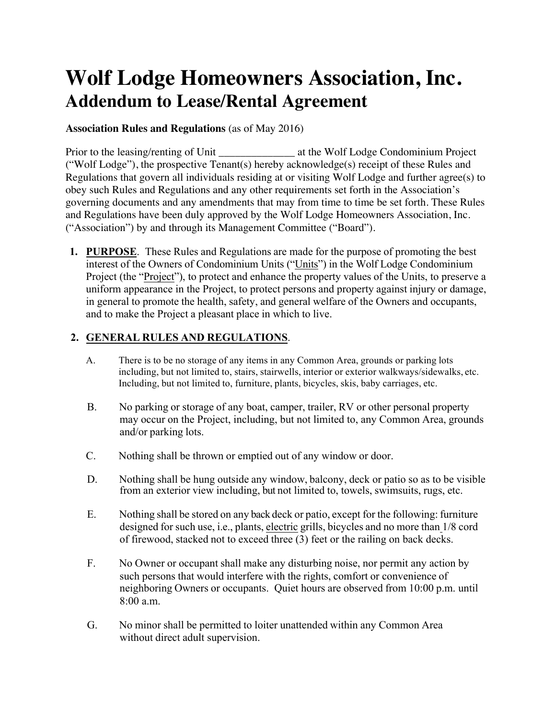## **Wolf Lodge Homeowners Association, Inc. Addendum to Lease/Rental Agreement**

## **Association Rules and Regulations** (as of May 2016)

Prior to the leasing/renting of Unit at the Wolf Lodge Condominium Project ("Wolf Lodge"), the prospective Tenant(s) hereby acknowledge(s) receipt of these Rules and Regulations that govern all individuals residing at or visiting Wolf Lodge and further agree(s) to obey such Rules and Regulations and any other requirements set forth in the Association's governing documents and any amendments that may from time to time be set forth. These Rules and Regulations have been duly approved by the Wolf Lodge Homeowners Association, Inc. ("Association") by and through its Management Committee ("Board").

**1. PURPOSE**. These Rules and Regulations are made for the purpose of promoting the best interest of the Owners of Condominium Units ("Units") in the Wolf Lodge Condominium Project (the "Project"), to protect and enhance the property values of the Units, to preserve a uniform appearance in the Project, to protect persons and property against injury or damage, in general to promote the health, safety, and general welfare of the Owners and occupants, and to make the Project a pleasant place in which to live.

## **2. GENERAL RULES AND REGULATIONS**.

- A. There is to be no storage of any items in any Common Area, grounds or parking lots including, but not limited to, stairs, stairwells, interior or exterior walkways/sidewalks, etc. Including, but not limited to, furniture, plants, bicycles, skis, baby carriages, etc.
- B. No parking or storage of any boat, camper, trailer, RV or other personal property may occur on the Project, including, but not limited to, any Common Area, grounds and/or parking lots.
- C. Nothing shall be thrown or emptied out of any window or door.
- D. Nothing shall be hung outside any window, balcony, deck or patio so as to be visible from an exterior view including, but not limited to, towels, swimsuits, rugs, etc.
- E. Nothing shall be stored on any back deck or patio, except for the following: furniture designed for such use, i.e., plants, electric grills, bicycles and no more than 1/8 cord of firewood, stacked not to exceed three (3) feet or the railing on back decks.
- F. No Owner or occupant shall make any disturbing noise, nor permit any action by such persons that would interfere with the rights, comfort or convenience of neighboring Owners or occupants. Quiet hours are observed from 10:00 p.m. until 8:00 a.m.
- G. No minor shall be permitted to loiter unattended within any Common Area without direct adult supervision.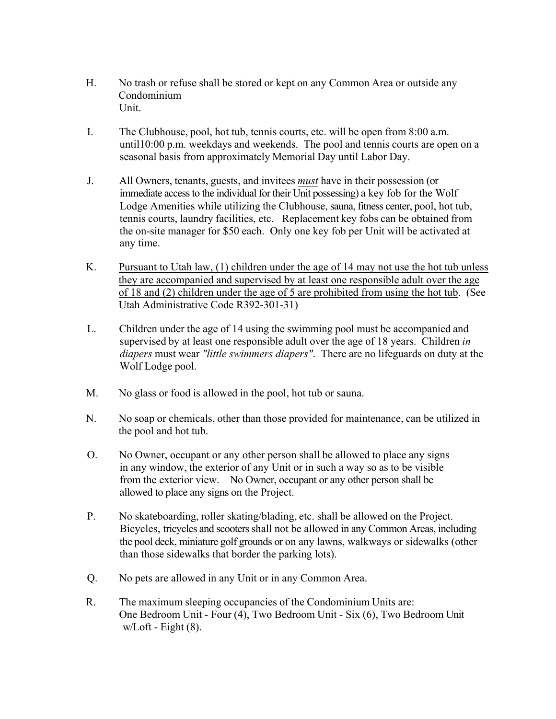- H. No trash or refuse shall be stored or kept on any Common Area or outside any Condominium Unit.
- I. The Clubhouse, pool, hot tub, tennis courts, etc. will be open from 8:00 a.m. until10:00 p.m. weekdays and weekends. The pool and tennis courts are open on a seasonal basis from approximately Memorial Day until Labor Day.
- J. All Owners, tenants, guests, and invitees *must* have in their possession (or immediate access to the individual for their Unit possessing) a key fob for the Wolf Lodge Amenities while utilizing the Clubhouse, sauna, fitness center, pool, hot tub, tennis courts, laundry facilities, etc. Replacement key fobs can be obtained from the on-site manager for \$50 each. Only one key fob per Unit will be activated at any time.
- K. Pursuant to Utah law, (1) children under the age of 14 may not use the hot tub unless they are accompanied and supervised by at least one responsible adult over the age of 18 and (2) children under the age of 5 are prohibited from using the hot tub. (See Utah Administrative Code R392-301-31)
- L. Children under the age of 14 using the swimming pool must be accompanied and supervised by at least one responsible adult over the age of 18 years. Children *in diapers* must wear *"little swimmers diapers"*. There are no lifeguards on duty at the Wolf Lodge pool.
- M. No glass or food is allowed in the pool, hot tub or sauna.
- N. No soap or chemicals, other than those provided for maintenance, can be utilized in the pool and hot tub.
- O. No Owner, occupant or any other person shall be allowed to place any signs in any window, the exterior of any Unit or in such a way so as to be visible from the exterior view. No Owner, occupant or any other person shall be allowed to place any signs on the Project.
- P. No skateboarding, roller skating/blading, etc. shall be allowed on the Project. Bicycles, tricycles and scooters shall not be allowed in any Common Areas, including the pool deck, miniature golf grounds or on any lawns, walkways or sidewalks (other than those sidewalks that border the parking lots).
- Q. No pets are allowed in any Unit or in any Common Area.
- R. The maximum sleeping occupancies of the Condominium Units are: One Bedroom Unit - Four (4), Two Bedroom Unit - Six (6), Two Bedroom Unit  $w/Loft - Eight(8)$ .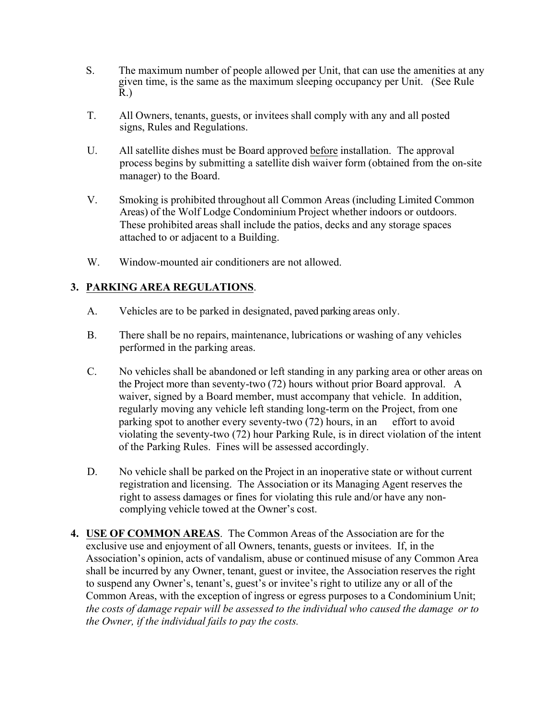- S. The maximum number of people allowed per Unit, that can use the amenities at any given time, is the same as the maximum sleeping occupancy per Unit. (See Rule R.)
- T. All Owners, tenants, guests, or invitees shall comply with any and all posted signs, Rules and Regulations.
- U. All satellite dishes must be Board approved before installation. The approval process begins by submitting a satellite dish waiver form (obtained from the on-site manager) to the Board.
- V. Smoking is prohibited throughout all Common Areas (including Limited Common Areas) of the Wolf Lodge Condominium Project whether indoors or outdoors. These prohibited areas shall include the patios, decks and any storage spaces attached to or adjacent to a Building.
- W. Window-mounted air conditioners are not allowed.

## **3. PARKING AREA REGULATIONS**.

- A. Vehicles are to be parked in designated, paved parking areas only.
- B. There shall be no repairs, maintenance, lubrications or washing of any vehicles performed in the parking areas.
- C. No vehicles shall be abandoned or left standing in any parking area or other areas on the Project more than seventy-two (72) hours without prior Board approval. A waiver, signed by a Board member, must accompany that vehicle. In addition, regularly moving any vehicle left standing long-term on the Project, from one parking spot to another every seventy-two (72) hours, in an effort to avoid violating the seventy-two (72) hour Parking Rule, is in direct violation of the intent of the Parking Rules. Fines will be assessed accordingly.
- D. No vehicle shall be parked on the Project in an inoperative state or without current registration and licensing. The Association or its Managing Agent reserves the right to assess damages or fines for violating this rule and/or have any noncomplying vehicle towed at the Owner's cost.
- **4. USE OF COMMON AREAS**. The Common Areas of the Association are for the exclusive use and enjoyment of all Owners, tenants, guests or invitees. If, in the Association's opinion, acts of vandalism, abuse or continued misuse of any Common Area shall be incurred by any Owner, tenant, guest or invitee, the Association reserves the right to suspend any Owner's, tenant's, guest's or invitee's right to utilize any or all of the Common Areas, with the exception of ingress or egress purposes to a Condominium Unit; *the costs of damage repair will be assessed to the individual who caused the damage or to the Owner, if the individual fails to pay the costs.*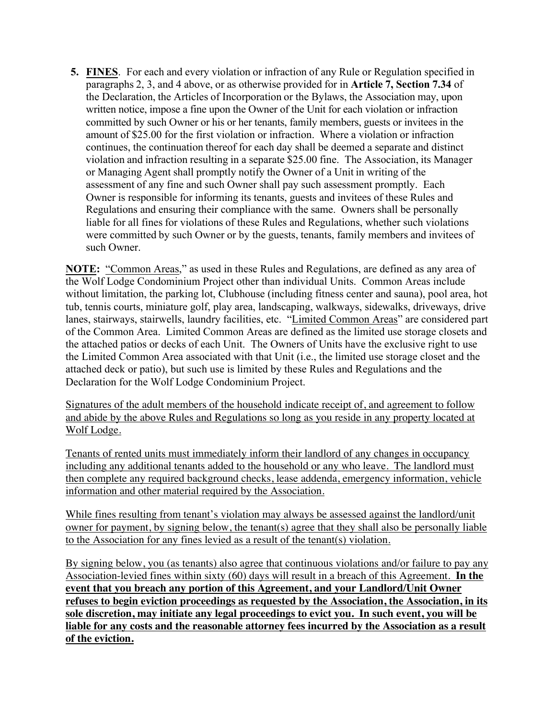**5. FINES**. For each and every violation or infraction of any Rule or Regulation specified in paragraphs 2, 3, and 4 above, or as otherwise provided for in **Article 7, Section 7.34** of the Declaration, the Articles of Incorporation or the Bylaws, the Association may, upon written notice, impose a fine upon the Owner of the Unit for each violation or infraction committed by such Owner or his or her tenants, family members, guests or invitees in the amount of \$25.00 for the first violation or infraction. Where a violation or infraction continues, the continuation thereof for each day shall be deemed a separate and distinct violation and infraction resulting in a separate \$25.00 fine. The Association, its Manager or Managing Agent shall promptly notify the Owner of a Unit in writing of the assessment of any fine and such Owner shall pay such assessment promptly. Each Owner is responsible for informing its tenants, guests and invitees of these Rules and Regulations and ensuring their compliance with the same. Owners shall be personally liable for all fines for violations of these Rules and Regulations, whether such violations were committed by such Owner or by the guests, tenants, family members and invitees of such Owner.

**NOTE:** "Common Areas," as used in these Rules and Regulations, are defined as any area of the Wolf Lodge Condominium Project other than individual Units. Common Areas include without limitation, the parking lot, Clubhouse (including fitness center and sauna), pool area, hot tub, tennis courts, miniature golf, play area, landscaping, walkways, sidewalks, driveways, drive lanes, stairways, stairwells, laundry facilities, etc. "Limited Common Areas" are considered part of the Common Area. Limited Common Areas are defined as the limited use storage closets and the attached patios or decks of each Unit. The Owners of Units have the exclusive right to use the Limited Common Area associated with that Unit (i.e., the limited use storage closet and the attached deck or patio), but such use is limited by these Rules and Regulations and the Declaration for the Wolf Lodge Condominium Project.

Signatures of the adult members of the household indicate receipt of, and agreement to follow and abide by the above Rules and Regulations so long as you reside in any property located at Wolf Lodge.

Tenants of rented units must immediately inform their landlord of any changes in occupancy including any additional tenants added to the household or any who leave. The landlord must then complete any required background checks, lease addenda, emergency information, vehicle information and other material required by the Association.

While fines resulting from tenant's violation may always be assessed against the landlord/unit owner for payment, by signing below, the tenant(s) agree that they shall also be personally liable to the Association for any fines levied as a result of the tenant(s) violation.

By signing below, you (as tenants) also agree that continuous violations and/or failure to pay any Association-levied fines within sixty (60) days will result in a breach of this Agreement. **In the event that you breach any portion of this Agreement, and your Landlord/Unit Owner refuses to begin eviction proceedings as requested by the Association, the Association, in its sole discretion, may initiate any legal proceedings to evict you. In such event, you will be liable for any costs and the reasonable attorney fees incurred by the Association as a result of the eviction.**